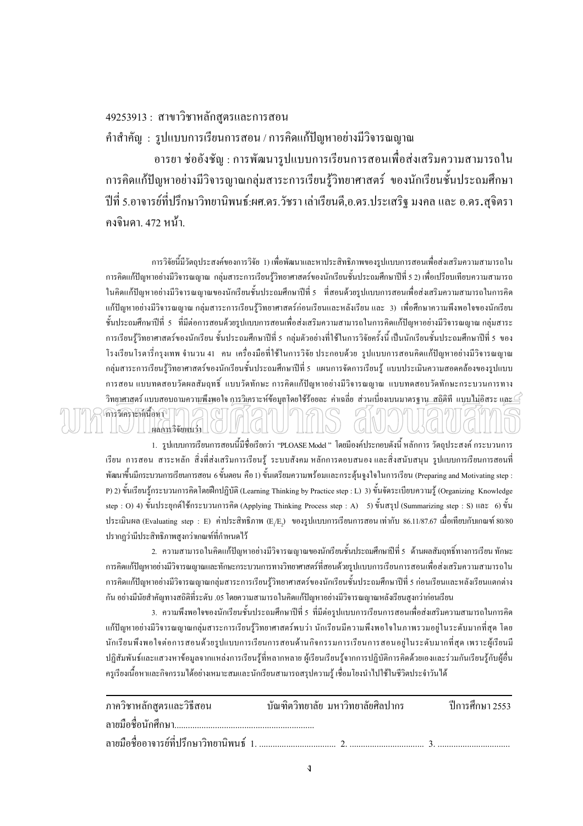## 49253913 : สาขาวิชาหลักสูตรและการสอน

คำสำคัญ : รูปแบบการเรียนการสอน / การคิดแก้ปัญหาอย่างมีวิจารณญาณ

้อารยา ช่ออังชัญ : การพัฒนารูปแบบการเรียนการสอนเพื่อส่งเสริมความสามารถใน ึการคิดแก้ปัญหาอย่างมีวิจารญาณกลุ่มสาระการเรียนรู้วิทยาศาสตร์ ของนักเรียนชั้นประถมศึกษา ปีที่ ร.อาจารย์ที่ปรึกษาวิทยานิพนธ์:ผศ.คร.วัชรา เล่าเรียนดี,อ.คร.ประเสริฐ มงคล และ อ.คร.สุจิตรา คงจินดา, 472 หน้า.

ึการวิจัยนี้มีวัตถประสงค์ของการวิจัย 1) เพื่อพัฒนาและหาประสิทธิภาพของรปแบบการสอนเพื่อส่งเสริมความสามารถใน ี การคิดแก้ปัญหาอย่างมีวิจารณญาณ กล่มสาระการเรียนร้วิทยาศาสตร์ของนักเรียนชั้นประถมศึกษาปีที่ 5 2) เพื่อเปรียบเทียบความสามารถ ในกิดแก้ปัญหาอย่างมีวิจารณญาณของนักเรียนชั้นประถมศึกษาปีที่ 5 ที่สอนด้วยรูปแบบการสอนเพื่อส่งเสริมความสามารถในการกิด แก้ปัญหาอย่างมีวิจารณญาณ กลุ่มสาระการเรียนรู้วิทยาศาสตร์ก่อนเรียนและหลังเรียน และ 3) เพื่อศึกษาความพึงพอใจของนักเรียน ขั้นประถมศึกษาปีที่ 5 ที่มีต่อการสอนด้วยรูปแบบการสอนเพื่อส่งเสริมความสามารถในการคิดแก้ปัญหาอย่างมีวิจารณญาณ กลุ่มสาระ ี การเรียนรู้วิทยาศาสตร์ของนักเรียน ชั้นประถมศึกษาปีที่ 5 กลุ่มตัวอย่างที่ใช้ในการวิจัยครั้งนี้ เป็นนักเรียนชั้นประถมศึกษาปีที่ 5 ของ โรงเรียนโรตารี่กรุงเทพ จำนวน 41 คน เครื่องมือที่ใช้ในการวิจัย ประกอบด้วย รูปแบบการสอนคิดแก้ปัญหาอย่างมีวิจารณญาณ ึกลุ่มสาระการเรียนรู้วิทยาศาสตร์ของนักเรียนชั้นประถมศึกษาปีที่ 5 แผนการจัดการเรียนรู้ แบบประเมินความสอดคล้องของรูปแบบ ึการสอน แบบทคสอบวัดผลสัมฤทธิ์ แบบวัดทักษะ การคิดแก้ปัญหาอย่างมีวิจารณญาณ แบบทคสอบวัดทักษะกระบวนการทาง วิทยาศาสตร์ แบบสอบถามความพึงพอใจ การวิเคราะห์ข้อมูลโดยใช้ร้อยละ ค่าเฉลี่ย ส่วนเบี่ยงเบนมาตรฐาน\_สถิติที แบบไม่อิสระ และ $\le$ ์<br>การวิเคราะห์เนื้อหา || ผลการวิจัยพบว่า

1. รูปแบบการเรียนการสอนนี้มีชื่อเรียกว่า "PLOASE Model " โดยมีองค์ประกอบดังนี้ หลักการ วัตถุประสงค์ กระบวนการ เรียน การสอน สาระหลัก สิ่งที่ส่งเสริมการเรียนรู้ ระบบสังคม หลักการตอบสนอง และสิ่งสนับสนุน รูปแบบการเรียนการสอนที่ ี พัฒนาขึ้นมีกระบวนการเรียนการสอน 6 ขั้นตอน คือ 1) ขั้นเตรียมความพร้อมและกระดุ้นจูงใจในการเรียน (Preparing and Motivating step : P) 2) ขั้นเรียนรู้กระบวนการกิดโดยฝึกปฏิบัติ (Learning Thinking by Practice step : L) 3) ขั้นจัดระเบียบความรู้ (Organizing Knowledge step: O) 4) ขั้นประยุกต์ใช้กระบวนการคิด (Applying Thinking Process step: A) 5) ขั้นสรุป (Summarizing step: S) และ 6) ขั้น ประเมินผล (Evaluating step : E) ค่าประสิทธิภาพ (E,/E,) ของรูปแบบการเรียนการสอน เท่ากับ 86.11/87.67 เมื่อเทียบกับเกณฑ์ 80/80 ปรากฎว่ามีประสิทธิภาพสูงกว่าเกณฑ์ที่กำหนดไว้

2. ความสามารถในคิดแก้ปัญหาอย่างมีวิจารณญาณของนักเรียนชั้นประถมศึกษาปีที่ 5 ด้านผลสัมฤทธิ์ทางการเรียน ทักษะ ่ การคิดแก้ปัญหาอย่างมีวิจารณญาณและทักษะกระบวนการทางวิทยาศาสตร์ที่สอนด้วยรูปแบบการเรียนการสอนเพื่อส่งเสริมความสามารถใน ี การคิดแก้ปัญหาอย่างมีวิจารณญาณกลุ่มสาระการเรียนรู้วิทยาศาสตร์ของนักเรียนชั้นประถมศึกษาปีที่ 5 ก่อนเรียนและหลังเรียนแตกต่าง ้กัน อย่างมีนัยสำคัญทางสถิติที่ระดับ .05 โดยความสามารถในคิดแก้ปัญหาอย่างมีวิจารณญาณหลังเรียนสงกว่าก่อนเรียน

3. ความพึงพอใจของนักเรียนชั้นประถมศึกษาปีที่ 5 ที่มีต่อรูปแบบการเรียนการสอนเพื่อส่งเสริมความสามารถในการคิด แก้ปัญหาอย่างมีวิจารณญาณกลุ่มสาระการเรียนรู้วิทยาศาสตร์พบว่า นักเรียนมีความพึงพอใจในภาพรวมอยู่ในระดับมากที่สุด โดย ้นักเรียนพึงพอใจต่อการสอนด้วยรูปแบบการเรียนการสอนด้านกิจกรรมการเรียนการสอนอยู่ในระดับมากที่สุด เพราะผู้เรียนมี ปฏิสัมพันธ์และแสวงหาข้อมูลจากแหล่งการเรียนรู้ที่หลากหลาย ผู้เรียนเรียนรู้จากการปฏิบัติการคิดด้วยเองและร่วมกันเรียนรู้กับผู้อื่น ึ ครูเรียงเนื้อหาและกิจกรรมใด้อย่างเหมาะสมและนักเรียนสามารถสรุปความรู้ เชื่อมโยงนำไปใช้ในชีวิตประจำวันได้

| ภาควิชาหลักสูตรและวิธีสอน         บัณฑิตวิทยาลัย มหาวิทยาลัยศิลปากร |  | ปีการศึกษา 2553 |
|---------------------------------------------------------------------|--|-----------------|
|                                                                     |  |                 |
|                                                                     |  |                 |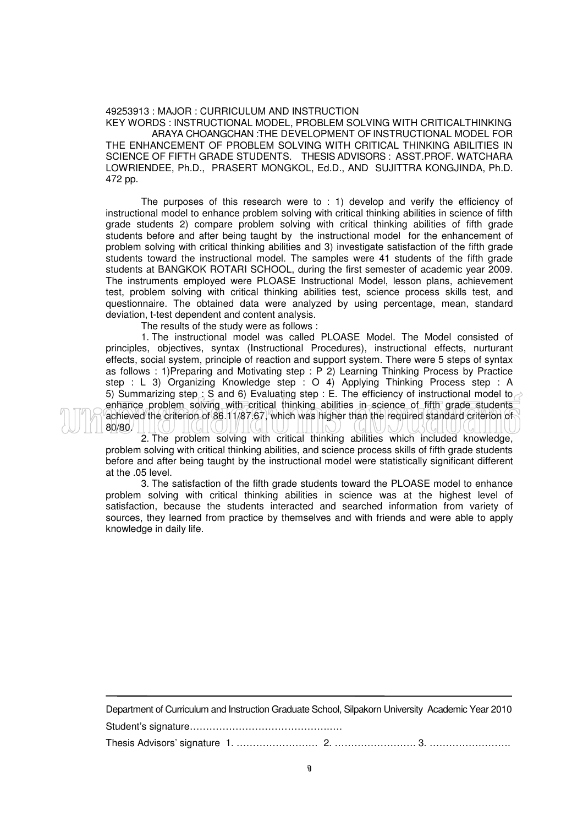## 49253913 : MAJOR : CURRICULUM AND INSTRUCTION

KEY WORDS : INSTRUCTIONAL MODEL, PROBLEM SOLVING WITH CRITICALTHINKING ARAYA CHOANGCHAN :THE DEVELOPMENT OF INSTRUCTIONAL MODEL FOR THE ENHANCEMENT OF PROBLEM SOLVING WITH CRITICAL THINKING ABILITIES IN SCIENCE OF FIFTH GRADE STUDENTS. THESIS ADVISORS : ASST.PROF. WATCHARA LOWRIENDEE, Ph.D., PRASERT MONGKOL, Ed.D., AND SUJITTRA KONGJINDA, Ph.D. 472 pp.

The purposes of this research were to : 1) develop and verify the efficiency of instructional model to enhance problem solving with critical thinking abilities in science of fifth grade students 2) compare problem solving with critical thinking abilities of fifth grade students before and after being taught by the instructional model for the enhancement of problem solving with critical thinking abilities and 3) investigate satisfaction of the fifth grade students toward the instructional model. The samples were 41 students of the fifth grade students at BANGKOK ROTARI SCHOOL, during the first semester of academic year 2009. The instruments employed were PLOASE Instructional Model, lesson plans, achievement test, problem solving with critical thinking abilities test, science process skills test, and questionnaire. The obtained data were analyzed by using percentage, mean, standard deviation, t-test dependent and content analysis.

The results of the study were as follows :

1. The instructional model was called PLOASE Model. The Model consisted of principles, objectives, syntax (Instructional Procedures), instructional effects, nurturant effects, social system, principle of reaction and support system. There were 5 steps of syntax as follows : 1)Preparing and Motivating step : P 2) Learning Thinking Process by Practice step : L 3) Organizing Knowledge step : O 4) Applying Thinking Process step : A 5) Summarizing step  $\leq$  S and 6) Evaluating step : E. The efficiency of instructional model to  $\geq$ enhance problem solving with critical thinking abilities in science of fifth grade students achieved the criterion of 86.11/87.67, which was higher than the required standard criterion of 80/80.

2. The problem solving with critical thinking abilities which included knowledge, problem solving with critical thinking abilities, and science process skills of fifth grade students before and after being taught by the instructional model were statistically significant different at the .05 level.

3. The satisfaction of the fifth grade students toward the PLOASE model to enhance problem solving with critical thinking abilities in science was at the highest level of satisfaction, because the students interacted and searched information from variety of sources, they learned from practice by themselves and with friends and were able to apply knowledge in daily life.

Department of Curriculum and Instruction Graduate School, Silpakorn University Academic Year 2010 Student's signature…………………………………….…. Thesis Advisors' signature 1. ……………………. 2. ……………………. 3. …………………….